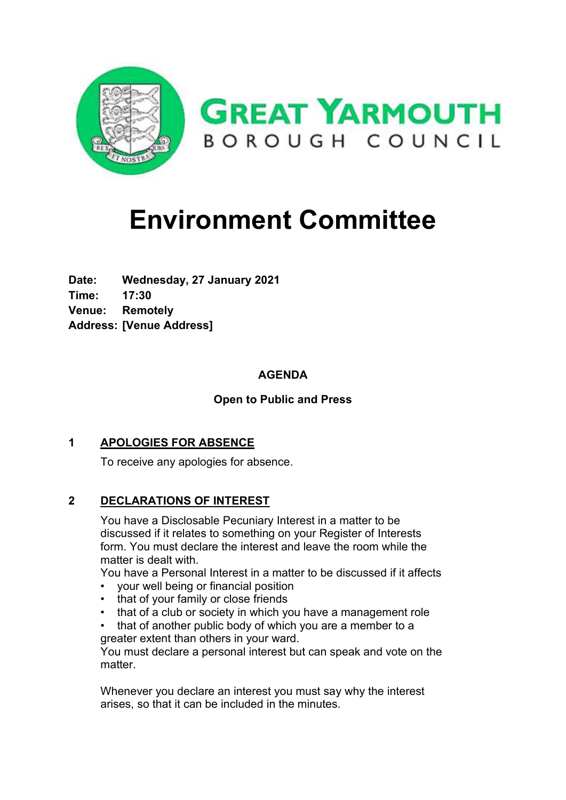

# **Environment Committee**

**Date: Wednesday, 27 January 2021 Time: 17:30 Venue: Remotely Address: [Venue Address]**

# **AGENDA**

# **Open to Public and Press**

# **1 APOLOGIES FOR ABSENCE**

To receive any apologies for absence.

# **2 DECLARATIONS OF INTEREST**

You have a Disclosable Pecuniary Interest in a matter to be discussed if it relates to something on your Register of Interests form. You must declare the interest and leave the room while the matter is dealt with.

You have a Personal Interest in a matter to be discussed if it affects

- your well being or financial position
- that of your family or close friends
- that of a club or society in which you have a management role
- that of another public body of which you are a member to a greater extent than others in your ward.

You must declare a personal interest but can speak and vote on the matter.

Whenever you declare an interest you must say why the interest arises, so that it can be included in the minutes.